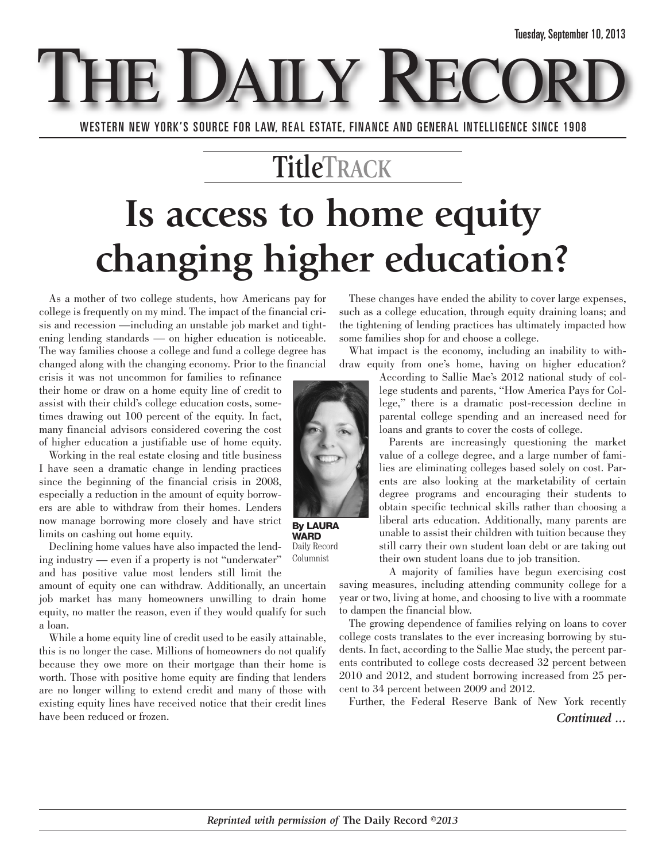E DAILY

WESTERN NEW YORK'S SOURCE FOR LAW, REAL ESTATE, FINANCE AND GENERAL INTELLIGENCE SINCE 1908

### **TitleTRACK**

# **Is access to home equity changing higher education?**

As a mother of two college students, how Americans pay for college is frequently on my mind. The impact of the financial crisis and recession —including an unstable job market and tightening lending standards — on higher education is noticeable. The way families choose a college and fund a college degree has changed along with the changing economy. Prior to the financial

crisis it was not uncommon for families to refinance their home or draw on a home equity line of credit to assist with their child's college education costs, sometimes drawing out 100 percent of the equity. In fact, many financial advisors considered covering the cost of higher education a justifiable use of home equity.

Working in the real estate closing and title business I have seen a dramatic change in lending practices since the beginning of the financial crisis in 2008, especially a reduction in the amount of equity borrowers are able to withdraw from their homes. Lenders now manage borrowing more closely and have strict limits on cashing out home equity.

Declining home values have also impacted the lending industry — even if a property is not "underwater" and has positive value most lenders still limit the

amount of equity one can withdraw. Additionally, an uncertain job market has many homeowners unwilling to drain home equity, no matter the reason, even if they would qualify for such a loan.

While a home equity line of credit used to be easily attainable, this is no longer the case. Millions of homeowners do not qualify because they owe more on their mortgage than their home is worth. Those with positive home equity are finding that lenders are no longer willing to extend credit and many of those with existing equity lines have received notice that their credit lines have been reduced or frozen.

These changes have ended the ability to cover large expenses, such as a college education, through equity draining loans; and the tightening of lending practices has ultimately impacted how some families shop for and choose a college.

What impact is the economy, including an inability to withdraw equity from one's home, having on higher education?



**By LAURA WARD** Daily Record

Columnist

According to Sallie Mae's 2012 national study of college students and parents, "How America Pays for College," there is a dramatic post-recession decline in parental college spending and an increased need for loans and grants to cover the costs of college.

Parents are increasingly questioning the market value of a college degree, and a large number of families are eliminating colleges based solely on cost. Parents are also looking at the marketability of certain degree programs and encouraging their students to obtain specific technical skills rather than choosing a liberal arts education. Additionally, many parents are unable to assist their children with tuition because they still carry their own student loan debt or are taking out their own student loans due to job transition.

A majority of families have begun exercising cost saving measures, including attending community college for a year or two, living at home, and choosing to live with a roommate to dampen the financial blow.

The growing dependence of families relying on loans to cover college costs translates to the ever increasing borrowing by students. In fact, according to the Sallie Mae study, the percent parents contributed to college costs decreased 32 percent between 2010 and 2012, and student borrowing increased from 25 percent to 34 percent between 2009 and 2012.

Further, the Federal Reserve Bank of New York recently *Continued ...*

*Reprinted with permission of* **The Daily Record** *©2013*